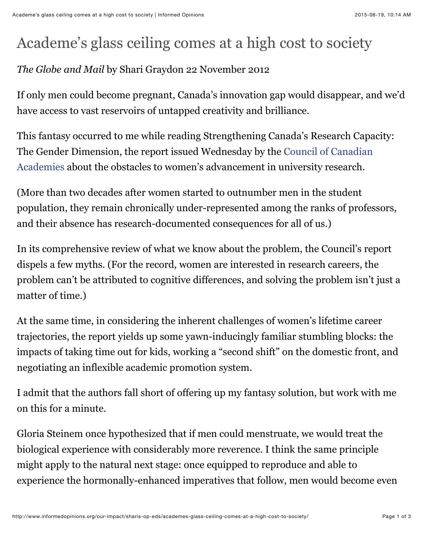## Academe's glass ceiling comes at a high cost to society

## *The Globe and Mail* by Shari Graydon 22 November 2012

If only men could become pregnant, Canada's innovation gap would disappear, and we'd have access to vast reservoirs of untapped creativity and brilliance.

This fantasy occurred to me while reading Strengthening Canada's Research Capacity: [The Gender Dimension, the report issued Wednesday by the Council of Canadian](http://www.scienceadvice%2cca/) Academies about the obstacles to women's advancement in university research.

(More than two decades after women started to outnumber men in the student population, they remain chronically under-represented among the ranks of professors, and their absence has research-documented consequences for all of us.)

In its comprehensive review of what we know about the problem, the Council's report dispels a few myths. (For the record, women are interested in research careers, the problem can't be attributed to cognitive differences, and solving the problem isn't just a matter of time.)

At the same time, in considering the inherent challenges of women's lifetime career trajectories, the report yields up some yawn-inducingly familiar stumbling blocks: the impacts of taking time out for kids, working a "second shift" on the domestic front, and negotiating an inflexible academic promotion system.

I admit that the authors fall short of offering up my fantasy solution, but work with me on this for a minute.

Gloria Steinem once hypothesized that if men could menstruate, we would treat the biological experience with considerably more reverence. I think the same principle might apply to the natural next stage: once equipped to reproduce and able to experience the hormonally-enhanced imperatives that follow, men would become even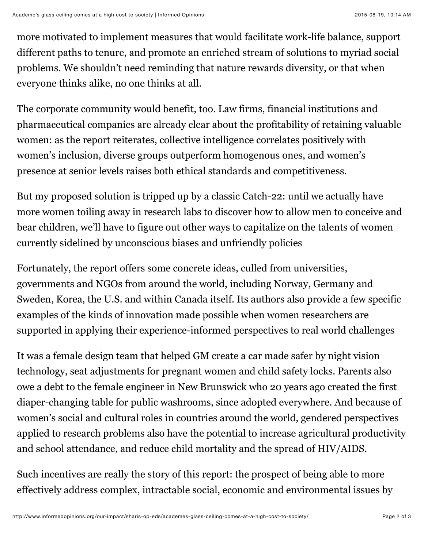more motivated to implement measures that would facilitate work-life balance, support different paths to tenure, and promote an enriched stream of solutions to myriad social problems. We shouldn't need reminding that nature rewards diversity, or that when everyone thinks alike, no one thinks at all.

The corporate community would benefit, too. Law firms, financial institutions and pharmaceutical companies are already clear about the profitability of retaining valuable women: as the report reiterates, collective intelligence correlates positively with women's inclusion, diverse groups outperform homogenous ones, and women's presence at senior levels raises both ethical standards and competitiveness.

But my proposed solution is tripped up by a classic Catch-22: until we actually have more women toiling away in research labs to discover how to allow men to conceive and bear children, we'll have to figure out other ways to capitalize on the talents of women currently sidelined by unconscious biases and unfriendly policies

Fortunately, the report offers some concrete ideas, culled from universities, governments and NGOs from around the world, including Norway, Germany and Sweden, Korea, the U.S. and within Canada itself. Its authors also provide a few specific examples of the kinds of innovation made possible when women researchers are supported in applying their experience-informed perspectives to real world challenges

It was a female design team that helped GM create a car made safer by night vision technology, seat adjustments for pregnant women and child safety locks. Parents also owe a debt to the female engineer in New Brunswick who 20 years ago created the first diaper-changing table for public washrooms, since adopted everywhere. And because of women's social and cultural roles in countries around the world, gendered perspectives applied to research problems also have the potential to increase agricultural productivity and school attendance, and reduce child mortality and the spread of HIV/AIDS.

Such incentives are really the story of this report: the prospect of being able to more effectively address complex, intractable social, economic and environmental issues by